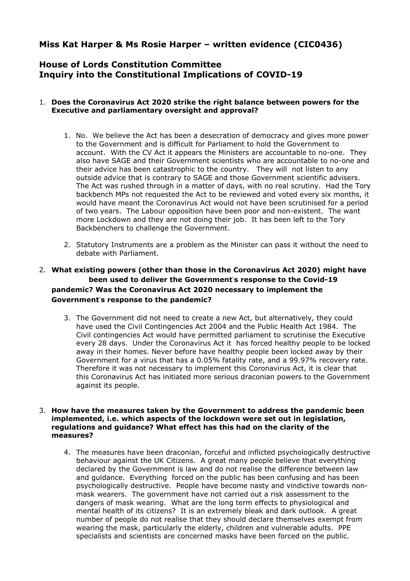# **Miss Kat Harper & Ms Rosie Harper – written evidence (CIC0436)**

# **House of Lords Constitution Committee Inquiry into the Constitutional Implications of COVID-19**

# 1. **Does the Coronavirus Act 2020 strike the right balance between powers for the Executive and parliamentary oversight and approval?**

- 1. No. We believe the Act has been a desecration of democracy and gives more power to the Government and is difficult for Parliament to hold the Government to account. With the CV Act it appears the Ministers are accountable to no-one. They also have SAGE and their Government scientists who are accountable to no-one and their advice has been catastrophic to the country. They will not listen to any outside advice that is contrary to SAGE and those Government scientific advisers. The Act was rushed through in a matter of days, with no real scrutiny. Had the Tory backbench MPs not requested the Act to be reviewed and voted every six months, it would have meant the Coronavirus Act would not have been scrutinised for a period of two years. The Labour opposition have been poor and non-existent. The want more Lockdown and they are not doing their job. It has been left to the Tory Backbenchers to challenge the Government.
- 2. Statutory Instruments are a problem as the Minister can pass it without the need to debate with Parliament.

# 2. **What existing powers (other than those in the Coronavirus Act 2020) might have been used to deliver the Government**'**s response to the Covid-19 pandemic? Was the Coronavirus Act 2020 necessary to implement the Government**'**s response to the pandemic?**

3. The Government did not need to create a new Act, but alternatively, they could have used the Civil Contingencies Act 2004 and the Public Health Act 1984. The Civil contingencies Act would have permitted parliament to scrutinise the Executive every 28 days. Under the Coronavirus Act it has forced healthy people to be locked away in their homes. Never before have healthy people been locked away by their Government for a virus that has a 0.05% fatality rate, and a 99.97% recovery rate. Therefore it was not necessary to implement this Coronavirus Act, it is clear that this Coronavirus Act has initiated more serious draconian powers to the Government against its people.

#### 3. **How have the measures taken by the Government to address the pandemic been implemented, i.e. which aspects of the lockdown were set out in legislation, regulations and guidance? What effect has this had on the clarity of the measures?**

4. The measures have been draconian, forceful and inflicted psychologically destructive behaviour against the UK Citizens. A great many people believe that everything declared by the Government is law and do not realise the difference between law and guidance. Everything forced on the public has been confusing and has been psychologically destructive. People have become nasty and vindictive towards nonmask wearers. The government have not carried out a risk assessment to the dangers of mask wearing. What are the long term effects to physiological and mental health of its citizens? It is an extremely bleak and dark outlook. A great number of people do not realise that they should declare themselves exempt from wearing the mask, particularly the elderly, children and vulnerable adults. PPE specialists and scientists are concerned masks have been forced on the public.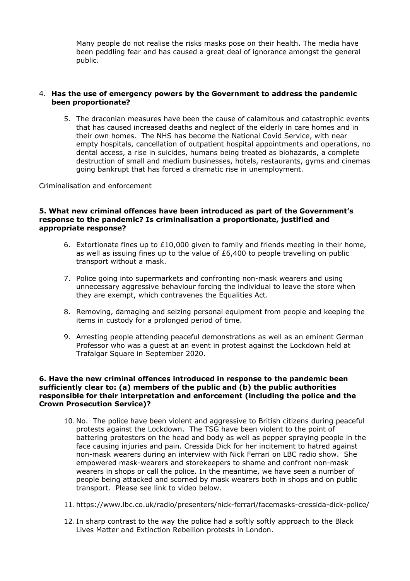Many people do not realise the risks masks pose on their health. The media have been peddling fear and has caused a great deal of ignorance amongst the general public.

### 4. **Has the use of emergency powers by the Government to address the pandemic been proportionate?**

5. The draconian measures have been the cause of calamitous and catastrophic events that has caused increased deaths and neglect of the elderly in care homes and in their own homes. The NHS has become the National Covid Service, with near empty hospitals, cancellation of outpatient hospital appointments and operations, no dental access, a rise in suicides, humans being treated as biohazards, a complete destruction of small and medium businesses, hotels, restaurants, gyms and cinemas going bankrupt that has forced a dramatic rise in unemployment.

Criminalisation and enforcement

#### **5. What new criminal offences have been introduced as part of the Government's response to the pandemic? Is criminalisation a proportionate, justified and appropriate response?**

- 6. Extortionate fines up to £10,000 given to family and friends meeting in their home, as well as issuing fines up to the value of £6,400 to people travelling on public transport without a mask.
- 7. Police going into supermarkets and confronting non-mask wearers and using unnecessary aggressive behaviour forcing the individual to leave the store when they are exempt, which contravenes the Equalities Act.
- 8. Removing, damaging and seizing personal equipment from people and keeping the items in custody for a prolonged period of time.
- 9. Arresting people attending peaceful demonstrations as well as an eminent German Professor who was a guest at an event in protest against the Lockdown held at Trafalgar Square in September 2020.

#### **6. Have the new criminal offences introduced in response to the pandemic been sufficiently clear to: (a) members of the public and (b) the public authorities responsible for their interpretation and enforcement (including the police and the Crown Prosecution Service)?**

- 10. No. The police have been violent and aggressive to British citizens during peaceful protests against the Lockdown. The TSG have been violent to the point of battering protesters on the head and body as well as pepper spraying people in the face causing injuries and pain. Cressida Dick for her incitement to hatred against non-mask wearers during an interview with Nick Ferrari on LBC radio show. She empowered mask-wearers and storekeepers to shame and confront non-mask wearers in shops or call the police. In the meantime, we have seen a number of people being attacked and scorned by mask wearers both in shops and on public transport. Please see link to video below.
- 11. https://www.lbc.co.uk/radio/presenters/nick-ferrari/facemasks-cressida-dick-police/
- 12. In sharp contrast to the way the police had a softly softly approach to the Black Lives Matter and Extinction Rebellion protests in London.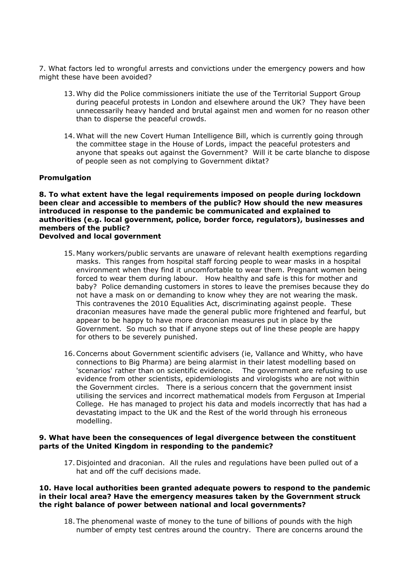7. What factors led to wrongful arrests and convictions under the emergency powers and how might these have been avoided?

- 13. Why did the Police commissioners initiate the use of the Territorial Support Group during peaceful protests in London and elsewhere around the UK? They have been unnecessarily heavy handed and brutal against men and women for no reason other than to disperse the peaceful crowds.
- 14. What will the new Covert Human Intelligence Bill, which is currently going through the committee stage in the House of Lords, impact the peaceful protesters and anyone that speaks out against the Government? Will it be carte blanche to dispose of people seen as not complying to Government diktat?

#### **Promulgation**

**8. To what extent have the legal requirements imposed on people during lockdown been clear and accessible to members of the public? How should the new measures introduced in response to the pandemic be communicated and explained to authorities (e.g. local government, police, border force, regulators), businesses and members of the public? Devolved and local government**

- 15. Many workers/public servants are unaware of relevant health exemptions regarding masks. This ranges from hospital staff forcing people to wear masks in a hospital environment when they find it uncomfortable to wear them. Pregnant women being forced to wear them during labour. How healthy and safe is this for mother and baby? Police demanding customers in stores to leave the premises because they do not have a mask on or demanding to know whey they are not wearing the mask. This contravenes the 2010 Equalities Act, discriminating against people. These draconian measures have made the general public more frightened and fearful, but appear to be happy to have more draconian measures put in place by the Government. So much so that if anyone steps out of line these people are happy for others to be severely punished.
- 16.Concerns about Government scientific advisers (ie, Vallance and Whitty, who have connections to Big Pharma) are being alarmist in their latest modelling based on 'scenarios' rather than on scientific evidence. The government are refusing to use evidence from other scientists, epidemiologists and virologists who are not within the Government circles. There is a serious concern that the government insist utilising the services and incorrect mathematical models from Ferguson at Imperial College. He has managed to project his data and models incorrectly that has had a devastating impact to the UK and the Rest of the world through his erroneous modelling.

#### **9. What have been the consequences of legal divergence between the constituent parts of the United Kingdom in responding to the pandemic?**

17. Disjointed and draconian. All the rules and regulations have been pulled out of a hat and off the cuff decisions made.

#### **10. Have local authorities been granted adequate powers to respond to the pandemic in their local area? Have the emergency measures taken by the Government struck the right balance of power between national and local governments?**

18. The phenomenal waste of money to the tune of billions of pounds with the high number of empty test centres around the country. There are concerns around the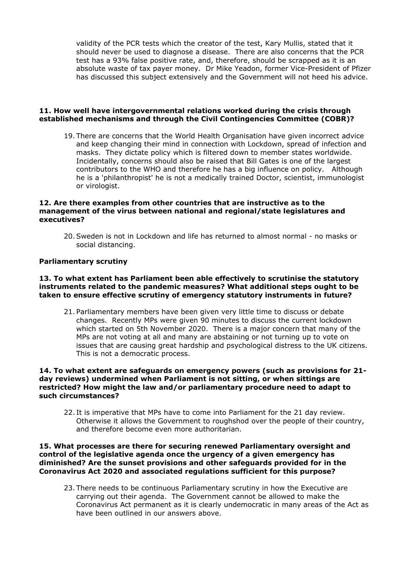validity of the PCR tests which the creator of the test, Kary Mullis, stated that it should never be used to diagnose a disease. There are also concerns that the PCR test has a 93% false positive rate, and, therefore, should be scrapped as it is an absolute waste of tax payer money. Dr Mike Yeadon, former Vice-President of Pfizer has discussed this subject extensively and the Government will not heed his advice.

### **11. How well have intergovernmental relations worked during the crisis through established mechanisms and through the Civil Contingencies Committee (COBR)?**

19. There are concerns that the World Health Organisation have given incorrect advice and keep changing their mind in connection with Lockdown, spread of infection and masks. They dictate policy which is filtered down to member states worldwide. Incidentally, concerns should also be raised that Bill Gates is one of the largest contributors to the WHO and therefore he has a big influence on policy. Although he is a 'philanthropist' he is not a medically trained Doctor, scientist, immunologist or virologist.

### **12. Are there examples from other countries that are instructive as to the management of the virus between national and regional/state legislatures and executives?**

20.Sweden is not in Lockdown and life has returned to almost normal - no masks or social distancing.

## **Parliamentary scrutiny**

#### **13. To what extent has Parliament been able effectively to scrutinise the statutory instruments related to the pandemic measures? What additional steps ought to be taken to ensure effective scrutiny of emergency statutory instruments in future?**

21. Parliamentary members have been given very little time to discuss or debate changes. Recently MPs were given 90 minutes to discuss the current lockdown which started on 5th November 2020. There is a major concern that many of the MPs are not voting at all and many are abstaining or not turning up to vote on issues that are causing great hardship and psychological distress to the UK citizens. This is not a democratic process.

#### **14. To what extent are safeguards on emergency powers (such as provisions for 21 day reviews) undermined when Parliament is not sitting, or when sittings are restricted? How might the law and/or parliamentary procedure need to adapt to such circumstances?**

22. It is imperative that MPs have to come into Parliament for the 21 day review. Otherwise it allows the Government to roughshod over the people of their country, and therefore become even more authoritarian.

#### **15. What processes are there for securing renewed Parliamentary oversight and control of the legislative agenda once the urgency of a given emergency has diminished? Are the sunset provisions and other safeguards provided for in the Coronavirus Act 2020 and associated regulations sufficient for this purpose?**

23. There needs to be continuous Parliamentary scrutiny in how the Executive are carrying out their agenda. The Government cannot be allowed to make the Coronavirus Act permanent as it is clearly undemocratic in many areas of the Act as have been outlined in our answers above.